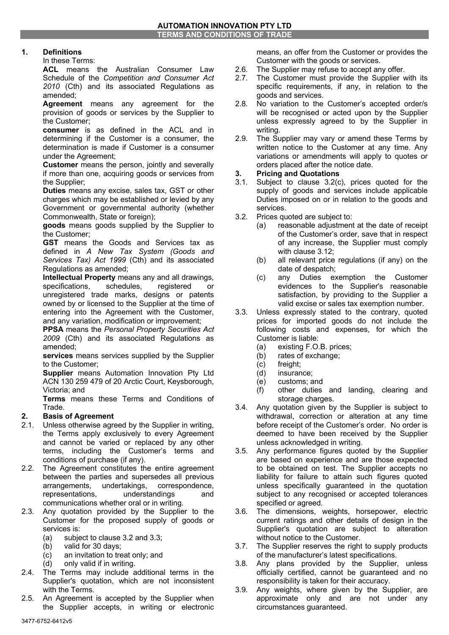## **1. Definitions**

In these Terms:

**ACL** means the Australian Consumer Law Schedule of the *Competition and Consumer Act 2010* (Cth) and its associated Regulations as amended;

**Agreement** means any agreement for the provision of goods or services by the Supplier to the Customer;

**consumer** is as defined in the ACL and in determining if the Customer is a consumer, the determination is made if Customer is a consumer under the Agreement;

**Customer** means the person, jointly and severally if more than one, acquiring goods or services from the Supplier;

**Duties** means any excise, sales tax, GST or other charges which may be established or levied by any Government or governmental authority (whether Commonwealth, State or foreign);

**goods** means goods supplied by the Supplier to the Customer;

**GST** means the Goods and Services tax as defined in *A New Tax System (Goods and Services Tax) Act 1999* (Cth) and its associated Regulations as amended;

**Intellectual Property** means any and all drawings, specifications, schedules, registered or unregistered trade marks, designs or patents owned by or licensed to the Supplier at the time of entering into the Agreement with the Customer, and any variation, modification or improvement;

**PPSA** means the *Personal Property Securities Act 2009* (Cth) and its associated Regulations as amended;

**services** means services supplied by the Supplier to the Customer;

**Supplier** means Automation Innovation Pty Ltd ACN 130 259 479 of 20 Arctic Court, Keysborough, Victoria; and

**Terms** means these Terms and Conditions of Trade.

## **2. Basis of Agreement**

- 2.1. Unless otherwise agreed by the Supplier in writing, the Terms apply exclusively to every Agreement and cannot be varied or replaced by any other terms, including the Customer's terms and conditions of purchase (if any).
- 2.2. The Agreement constitutes the entire agreement between the parties and supersedes all previous arrangements, undertakings, correspondence, representations, understandings and communications whether oral or in writing.
- 2.3. Any quotation provided by the Supplier to the Customer for the proposed supply of goods or services is:
	- (a) subject to clause 3.2 and 3.3;
	- (b) valid for 30 days;<br>(c) an invitation to tre
	- an invitation to treat only; and
	- (d) only valid if in writing.
- 2.4. The Terms may include additional terms in the Supplier's quotation, which are not inconsistent with the Terms.
- 2.5. An Agreement is accepted by the Supplier when the Supplier accepts, in writing or electronic

means, an offer from the Customer or provides the Customer with the goods or services.

- 2.6. The Supplier may refuse to accept any offer.
- 2.7. The Customer must provide the Supplier with its specific requirements, if any, in relation to the goods and services.
- 2.8. No variation to the Customer's accepted order/s will be recognised or acted upon by the Supplier unless expressly agreed to by the Supplier in writing.
- 2.9. The Supplier may vary or amend these Terms by written notice to the Customer at any time. Any variations or amendments will apply to quotes or orders placed after the notice date.

## **3. Pricing and Quotations**

- 3.1. Subject to clause 3.2(c), prices quoted for the supply of goods and services include applicable Duties imposed on or in relation to the goods and services.
- 3.2. Prices quoted are subject to:
	- (a) reasonable adjustment at the date of receipt of the Customer's order, save that in respect of any increase, the Supplier must comply with clause 3.12;
	- (b) all relevant price regulations (if any) on the date of despatch;
	- (c) any Duties exemption the Customer evidences to the Supplier's reasonable satisfaction, by providing to the Supplier a valid excise or sales tax exemption number.
- 3.3. Unless expressly stated to the contrary, quoted prices for imported goods do not include the following costs and expenses, for which the Customer is liable:
	- (a) existing F.O.B. prices;
	- (b) rates of exchange;
	- (c) freight;
	- (d) insurance;
	- (e) customs; and
	- (f) other duties and landing, clearing and storage charges.
- 3.4. Any quotation given by the Supplier is subject to withdrawal, correction or alteration at any time before receipt of the Customer's order. No order is deemed to have been received by the Supplier unless acknowledged in writing.
- 3.5. Any performance figures quoted by the Supplier are based on experience and are those expected to be obtained on test. The Supplier accepts no liability for failure to attain such figures quoted unless specifically guaranteed in the quotation subject to any recognised or accepted tolerances specified or agreed.
- 3.6. The dimensions, weights, horsepower, electric current ratings and other details of design in the Supplier's quotation are subject to alteration without notice to the Customer.
- 3.7. The Supplier reserves the right to supply products of the manufacturer's latest specifications.
- 3.8. Any plans provided by the Supplier, unless officially certified, cannot be guaranteed and no responsibility is taken for their accuracy.
- 3.9. Any weights, where given by the Supplier, are approximate only and are not under any circumstances guaranteed.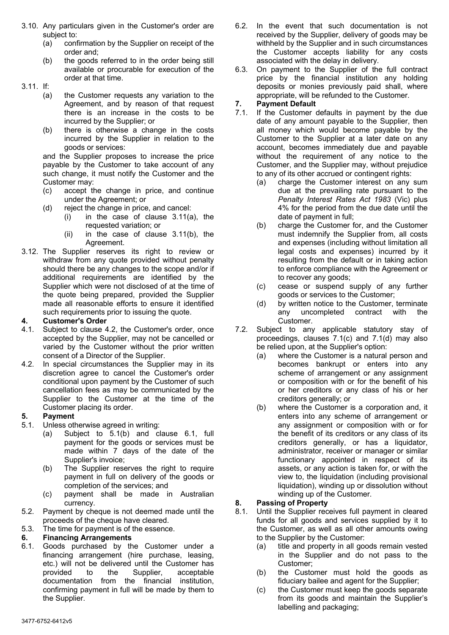- 3.10. Any particulars given in the Customer's order are subject to:
	- (a) confirmation by the Supplier on receipt of the order and;
	- (b) the goods referred to in the order being still available or procurable for execution of the order at that time.

3.11. If:

- (a) the Customer requests any variation to the Agreement, and by reason of that request there is an increase in the costs to be incurred by the Supplier; or
- (b) there is otherwise a change in the costs incurred by the Supplier in relation to the goods or services:

and the Supplier proposes to increase the price payable by the Customer to take account of any such change, it must notify the Customer and the Customer may:

- (c) accept the change in price, and continue under the Agreement; or
- (d) reject the change in price, and cancel:
	- (i) in the case of clause 3.11(a), the requested variation; or
	- (ii) in the case of clause 3.11(b), the Agreement.
- 3.12. The Supplier reserves its right to review or withdraw from any quote provided without penalty should there be any changes to the scope and/or if additional requirements are identified by the Supplier which were not disclosed of at the time of the quote being prepared, provided the Supplier made all reasonable efforts to ensure it identified such requirements prior to issuing the quote.

### **4. Customer's Order**

- 4.1. Subject to clause 4.2, the Customer's order, once accepted by the Supplier, may not be cancelled or varied by the Customer without the prior written consent of a Director of the Supplier.
- 4.2. In special circumstances the Supplier may in its discretion agree to cancel the Customer's order conditional upon payment by the Customer of such cancellation fees as may be communicated by the Supplier to the Customer at the time of the Customer placing its order.

## **5. Payment**

- 5.1. Unless otherwise agreed in writing:
	- (a) Subject to 5.1(b) and clause 6.1, full payment for the goods or services must be made within 7 days of the date of the Supplier's invoice;
	- (b) The Supplier reserves the right to require payment in full on delivery of the goods or completion of the services; and
	- (c) payment shall be made in Australian currency.
- 5.2. Payment by cheque is not deemed made until the proceeds of the cheque have cleared.
- 5.3. The time for payment is of the essence.

# **6. Financing Arrangements**

6.1. Goods purchased by the Customer under a financing arrangement (hire purchase, leasing, etc.) will not be delivered until the Customer has provided to the Supplier, acceptable documentation from the financial institution, confirming payment in full will be made by them to the Supplier.

- 6.2. In the event that such documentation is not received by the Supplier, delivery of goods may be withheld by the Supplier and in such circumstances the Customer accepts liability for any costs associated with the delay in delivery.
- 6.3. On payment to the Supplier of the full contract price by the financial institution any holding deposits or monies previously paid shall, where appropriate, will be refunded to the Customer.

## **7. Payment Default**

- 7.1. If the Customer defaults in payment by the due date of any amount payable to the Supplier, then all money which would become payable by the Customer to the Supplier at a later date on any account, becomes immediately due and payable without the requirement of any notice to the Customer, and the Supplier may, without prejudice to any of its other accrued or contingent rights:
	- (a) charge the Customer interest on any sum due at the prevailing rate pursuant to the *Penalty Interest Rates Act 1983* (Vic) plus 4% for the period from the due date until the date of payment in full;
	- (b) charge the Customer for, and the Customer must indemnify the Supplier from, all costs and expenses (including without limitation all legal costs and expenses) incurred by it resulting from the default or in taking action to enforce compliance with the Agreement or to recover any goods;
	- (c) cease or suspend supply of any further goods or services to the Customer;
	- (d) by written notice to the Customer, terminate any uncompleted contract with the Customer.
- 7.2. Subject to any applicable statutory stay of proceedings, clauses 7.1(c) and 7.1(d) may also be relied upon, at the Supplier's option:
	- (a) where the Customer is a natural person and becomes bankrupt or enters into any scheme of arrangement or any assignment or composition with or for the benefit of his or her creditors or any class of his or her creditors generally; or
	- (b) where the Customer is a corporation and, it enters into any scheme of arrangement or any assignment or composition with or for the benefit of its creditors or any class of its creditors generally, or has a liquidator, administrator, receiver or manager or similar functionary appointed in respect of its assets, or any action is taken for, or with the view to, the liquidation (including provisional liquidation), winding up or dissolution without winding up of the Customer.

## **8. Passing of Property**

- 8.1. Until the Supplier receives full payment in cleared funds for all goods and services supplied by it to the Customer, as well as all other amounts owing to the Supplier by the Customer:
	- (a) title and property in all goods remain vested in the Supplier and do not pass to the Customer;
	- (b) the Customer must hold the goods as fiduciary bailee and agent for the Supplier;
	- (c) the Customer must keep the goods separate from its goods and maintain the Supplier's labelling and packaging;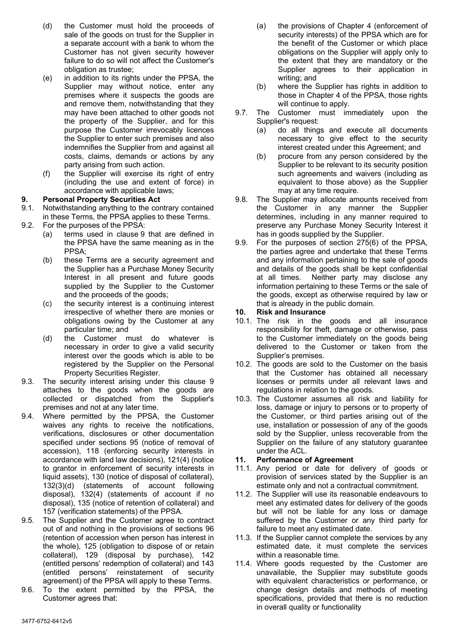- (d) the Customer must hold the proceeds of sale of the goods on trust for the Supplier in a separate account with a bank to whom the Customer has not given security however failure to do so will not affect the Customer's obligation as trustee;
- (e) in addition to its rights under the PPSA, the Supplier may without notice, enter any premises where it suspects the goods are and remove them, notwithstanding that they may have been attached to other goods not the property of the Supplier, and for this purpose the Customer irrevocably licences the Supplier to enter such premises and also indemnifies the Supplier from and against all costs, claims, demands or actions by any party arising from such action.
- (f) the Supplier will exercise its right of entry (including the use and extent of force) in accordance with applicable laws;

#### **9. Personal Property Securities Act**

- 9.1. Notwithstanding anything to the contrary contained in these Terms, the PPSA applies to these Terms.
- 9.2. For the purposes of the PPSA:
	- (a) terms used in clause 9 that are defined in the PPSA have the same meaning as in the PPSA;
	- (b) these Terms are a security agreement and the Supplier has a Purchase Money Security Interest in all present and future goods supplied by the Supplier to the Customer and the proceeds of the goods;
	- (c) the security interest is a continuing interest irrespective of whether there are monies or obligations owing by the Customer at any particular time; and
	- (d) the Customer must do whatever is necessary in order to give a valid security interest over the goods which is able to be registered by the Supplier on the Personal Property Securities Register.
- 9.3. The security interest arising under this clause 9 attaches to the goods when the goods are collected or dispatched from the Supplier's premises and not at any later time.
- 9.4. Where permitted by the PPSA, the Customer waives any rights to receive the notifications, verifications, disclosures or other documentation specified under sections 95 (notice of removal of accession), 118 (enforcing security interests in accordance with land law decisions), 121(4) (notice to grantor in enforcement of security interests in liquid assets), 130 (notice of disposal of collateral), 132(3)(d) (statements of account following disposal), 132(4) (statements of account if no disposal), 135 (notice of retention of collateral) and 157 (verification statements) of the PPSA.
- 9.5. The Supplier and the Customer agree to contract out of and nothing in the provisions of sections 96 (retention of accession when person has interest in the whole), 125 (obligation to dispose of or retain collateral), 129 (disposal by purchase), 142 (entitled persons' redemption of collateral) and 143 (entitled persons' reinstatement of security agreement) of the PPSA will apply to these Terms.
- 9.6. To the extent permitted by the PPSA, the Customer agrees that:
- (a) the provisions of Chapter 4 (enforcement of security interests) of the PPSA which are for the benefit of the Customer or which place obligations on the Supplier will apply only to the extent that they are mandatory or the Supplier agrees to their application in writing; and
- (b) where the Supplier has rights in addition to those in Chapter 4 of the PPSA, those rights will continue to apply.
- 9.7. The Customer must immediately upon the Supplier's request:
	- (a) do all things and execute all documents necessary to give effect to the security interest created under this Agreement; and
	- (b) procure from any person considered by the Supplier to be relevant to its security position such agreements and waivers (including as equivalent to those above) as the Supplier may at any time require.
- 9.8. The Supplier may allocate amounts received from the Customer in any manner the Supplier determines, including in any manner required to preserve any Purchase Money Security Interest it has in goods supplied by the Supplier.
- 9.9. For the purposes of section 275(6) of the PPSA, the parties agree and undertake that these Terms and any information pertaining to the sale of goods and details of the goods shall be kept confidential at all times. Neither party may disclose any information pertaining to these Terms or the sale of the goods, except as otherwise required by law or that is already in the public domain.

#### **10. Risk and Insurance**

- 10.1. The risk in the goods and all insurance responsibility for theft, damage or otherwise, pass to the Customer immediately on the goods being delivered to the Customer or taken from the Supplier's premises.
- 10.2. The goods are sold to the Customer on the basis that the Customer has obtained all necessary licenses or permits under all relevant laws and regulations in relation to the goods.
- 10.3. The Customer assumes all risk and liability for loss, damage or injury to persons or to property of the Customer, or third parties arising out of the use, installation or possession of any of the goods sold by the Supplier, unless recoverable from the Supplier on the failure of any statutory guarantee under the ACL.

## **11. Performance of Agreement**

- 11.1. Any period or date for delivery of goods or provision of services stated by the Supplier is an estimate only and not a contractual commitment.
- 11.2. The Supplier will use its reasonable endeavours to meet any estimated dates for delivery of the goods but will not be liable for any loss or damage suffered by the Customer or any third party for failure to meet any estimated date.
- 11.3. If the Supplier cannot complete the services by any estimated date, it must complete the services within a reasonable time.
- 11.4. Where goods requested by the Customer are unavailable, the Supplier may substitute goods with equivalent characteristics or performance, or change design details and methods of meeting specifications, provided that there is no reduction in overall quality or functionality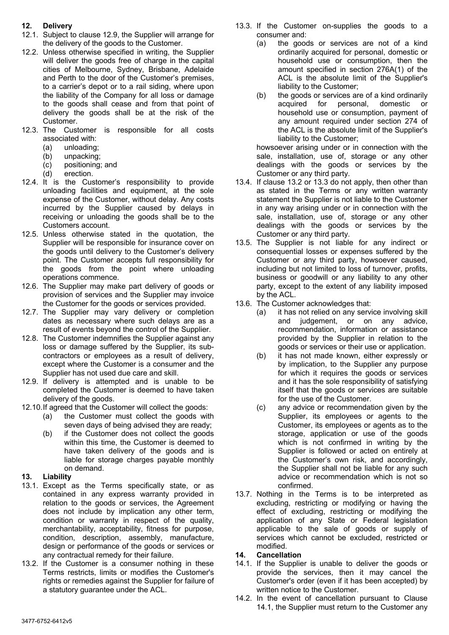## **12. Delivery**

- 12.1. Subject to clause 12.9, the Supplier will arrange for the delivery of the goods to the Customer.
- 12.2. Unless otherwise specified in writing, the Supplier will deliver the goods free of charge in the capital cities of Melbourne, Sydney, Brisbane, Adelaide and Perth to the door of the Customer's premises, to a carrier's depot or to a rail siding, where upon the liability of the Company for all loss or damage to the goods shall cease and from that point of delivery the goods shall be at the risk of the Customer.
- 12.3. The Customer is responsible for all costs associated with:
	- (a) unloading;
	- (b) unpacking;
	- (c) positioning; and
	- (d) erection.
- 12.4. It is the Customer's responsibility to provide unloading facilities and equipment, at the sole expense of the Customer, without delay. Any costs incurred by the Supplier caused by delays in receiving or unloading the goods shall be to the Customers account.
- 12.5. Unless otherwise stated in the quotation, the Supplier will be responsible for insurance cover on the goods until delivery to the Customer's delivery point. The Customer accepts full responsibility for the goods from the point where unloading operations commence.
- 12.6. The Supplier may make part delivery of goods or provision of services and the Supplier may invoice the Customer for the goods or services provided.
- 12.7. The Supplier may vary delivery or completion dates as necessary where such delays are as a result of events beyond the control of the Supplier.
- 12.8. The Customer indemnifies the Supplier against any loss or damage suffered by the Supplier, its subcontractors or employees as a result of delivery, except where the Customer is a consumer and the Supplier has not used due care and skill.
- 12.9. If delivery is attempted and is unable to be completed the Customer is deemed to have taken delivery of the goods.
- 12.10.If agreed that the Customer will collect the goods:
	- (a) the Customer must collect the goods with seven days of being advised they are ready;
		- (b) if the Customer does not collect the goods within this time, the Customer is deemed to have taken delivery of the goods and is liable for storage charges payable monthly on demand.
- **13. Liability**
- 13.1. Except as the Terms specifically state, or as contained in any express warranty provided in relation to the goods or services, the Agreement does not include by implication any other term, condition or warranty in respect of the quality, merchantability, acceptability, fitness for purpose, condition, description, assembly, manufacture, design or performance of the goods or services or any contractual remedy for their failure.
- 13.2. If the Customer is a consumer nothing in these Terms restricts, limits or modifies the Customer's rights or remedies against the Supplier for failure of a statutory guarantee under the ACL.
- 13.3. If the Customer on-supplies the goods to a consumer and:
	- (a) the goods or services are not of a kind ordinarily acquired for personal, domestic or household use or consumption, then the amount specified in section 276A(1) of the ACL is the absolute limit of the Supplier's liability to the Customer;
	- (b) the goods or services are of a kind ordinarily acquired for personal, domestic or household use or consumption, payment of any amount required under section 274 of the ACL is the absolute limit of the Supplier's liability to the Customer;

howsoever arising under or in connection with the sale, installation, use of, storage or any other dealings with the goods or services by the Customer or any third party.

- 13.4. If clause 13.2 or 13.3 do not apply, then other than as stated in the Terms or any written warranty statement the Supplier is not liable to the Customer in any way arising under or in connection with the sale, installation, use of, storage or any other dealings with the goods or services by the Customer or any third party.
- 13.5. The Supplier is not liable for any indirect or consequential losses or expenses suffered by the Customer or any third party, howsoever caused, including but not limited to loss of turnover, profits, business or goodwill or any liability to any other party, except to the extent of any liability imposed by the ACL.
- 13.6. The Customer acknowledges that:
	- (a) it has not relied on any service involving skill and judgement, or on any advice, recommendation, information or assistance provided by the Supplier in relation to the goods or services or their use or application.
	- (b) it has not made known, either expressly or by implication, to the Supplier any purpose for which it requires the goods or services and it has the sole responsibility of satisfying itself that the goods or services are suitable for the use of the Customer.
	- (c) any advice or recommendation given by the Supplier, its employees or agents to the Customer, its employees or agents as to the storage, application or use of the goods which is not confirmed in writing by the Supplier is followed or acted on entirely at the Customer's own risk, and accordingly, the Supplier shall not be liable for any such advice or recommendation which is not so confirmed.
- 13.7. Nothing in the Terms is to be interpreted as excluding, restricting or modifying or having the effect of excluding, restricting or modifying the application of any State or Federal legislation applicable to the sale of goods or supply of services which cannot be excluded, restricted or modified.
- **14. Cancellation**
- 14.1. If the Supplier is unable to deliver the goods or provide the services, then it may cancel the Customer's order (even if it has been accepted) by written notice to the Customer.
- 14.2. In the event of cancellation pursuant to Clause 14.1, the Supplier must return to the Customer any